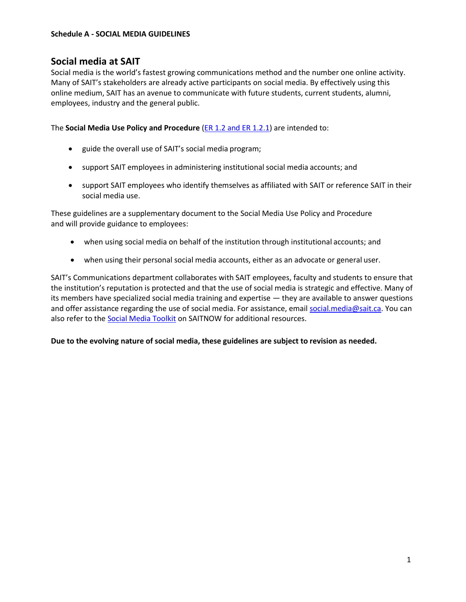# **Social media at SAIT**

Social media is the world's fastest growing communications method and the number one online activity. Many of SAIT's stakeholders are already active participants on social media. By effectively using this online medium, SAIT has an avenue to communicate with future students, current students, alumni, employees, industry and the general public.

The **Social Media Use Policy and Procedure** [\(ER 1.2 and](http://www.sait.ca/about-sait/administration/policies-and-procedures/external-relations) ER 1.2.1) are intended to:

- guide the overall use of SAIT's social media program;
- support SAIT employees in administering institutional social media accounts; and
- support SAIT employees who identify themselves as affiliated with SAIT or reference SAIT in their social media use.

These guidelines are a supplementary document to the Social Media Use Policy and Procedure and will provide guidance to employees:

- when using social media on behalf of the institution through institutional accounts; and
- when using their personal social media accounts, either as an advocate or general user.

SAIT's Communications department collaborates with SAIT employees, faculty and students to ensure that the institution's reputation is protected and that the use of social media is strategic and effective. Many of its members have specialized social media training and expertise — they are available to answer questions and offer assistance regarding the use of social media. For assistance, email [social.media@sait.ca.](mailto:social.media@sait.ca) You can also refer to the [Social Media Toolkit](http://www.saitnow.ca/social-media-guidelines.html) on SAITNOW for additional resources.

**Due to the evolving nature of social media, these guidelines are subject to revision as needed.**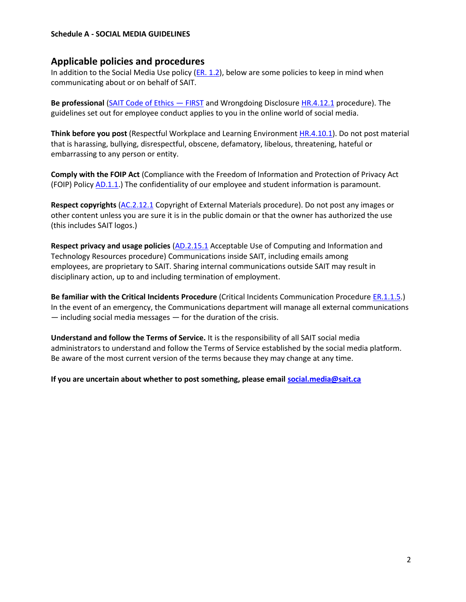### **Applicable policies and procedures**

In addition to the Social Media Use policy  $(ER. 1.2)$ , below are some policies to keep in mind when communicating about or on behalf of SAIT.

**Be professional** [\(SAIT Code of Ethics](http://www.sait.ca/about-sait/who-we-are/publications) — FIRST and Wrongdoing Disclosure [HR.4.12.1](https://www.sait.ca/about-sait/administration/policies-and-procedures/employee-services) procedure). The guidelines set out for employee conduct applies to you in the online world of social media.

**Think before you post** (Respectful Workplace and Learning Environmen[t HR.4.10.1\)](https://www.sait.ca/about-sait/administration/policies-and-procedures/employee-services). Do not post material that is harassing, bullying, disrespectful, obscene, defamatory, libelous, threatening, hateful or embarrassing to any person or entity.

**Comply with the FOIP Act** (Compliance with the Freedom of Information and Protection of Privacy Act (FOIP) Polic[y AD.1.1.](http://www.sait.ca/about-sait/administration/policies-and-procedures/administration)) The confidentiality of our employee and student information is paramount.

**Respect copyrights** [\(AC.2.12.1](https://www.sait.ca/about-sait/administration/policies-and-procedures/academic-student) Copyright of External Materials procedure). Do not post any images or other content unless you are sure it is in the public domain or that the owner has authorized the use (this includes SAIT logos.)

**Respect privacy and usage policies** [\(AD.2.15.1](https://www.sait.ca/about-sait/administration/policies-and-procedures/administration) Acceptable Use of Computing and Information and Technology Resources procedure) Communications inside SAIT, including emails among employees, are proprietary to SAIT. Sharing internal communications outside SAIT may result in disciplinary action, up to and including termination of employment.

**Be familiar with the Critical Incidents Procedure** (Critical Incidents Communication Procedure [ER.1.1.5.](http://www.sait.ca/about-sait/administration/policies-and-procedures/external-relations)) In the event of an emergency, the Communications department will manage all external communications — including social media messages — for the duration of the crisis.

**Understand and follow the Terms of Service.** It is the responsibility of all SAIT social media administrators to understand and follow the Terms of Service established by the social media platform. Be aware of the most current version of the terms because they may change at any time.

**If you are uncertain about whether to post something, please email [social.media@sait.ca](mailto:social.media@sait.ca)**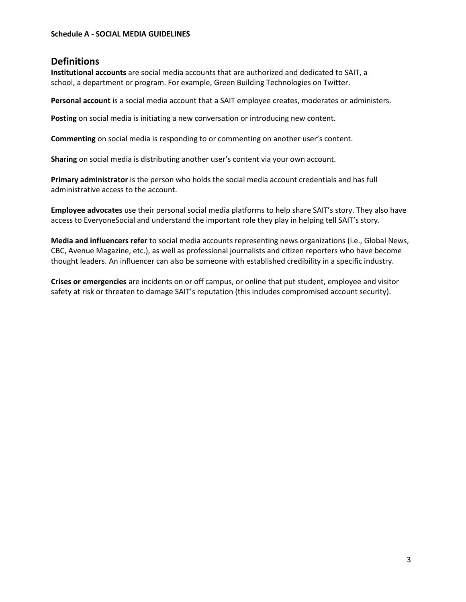# **Definitions**

**Institutional accounts** are social media accounts that are authorized and dedicated to SAIT, a school, a department or program. For example, Green Building Technologies on Twitter.

**Personal account** is a social media account that a SAIT employee creates, moderates or administers.

**Posting** on social media is initiating a new conversation or introducing new content.

**Commenting** on social media is responding to or commenting on another user's content.

**Sharing** on social media is distributing another user's content via your own account.

**Primary administrator** is the person who holds the social media account credentials and has full administrative access to the account.

**Employee advocates** use their personal social media platforms to help share SAIT's story. They also have access to EveryoneSocial and understand the important role they play in helping tell SAIT's story.

**Media and influencers refer** to social media accounts representing news organizations (i.e., Global News, CBC, Avenue Magazine, etc.), as well as professional journalists and citizen reporters who have become thought leaders. An influencer can also be someone with established credibility in a specific industry.

**Crises or emergencies** are incidents on or off campus, or online that put student, employee and visitor safety at risk or threaten to damage SAIT's reputation (this includes compromised account security).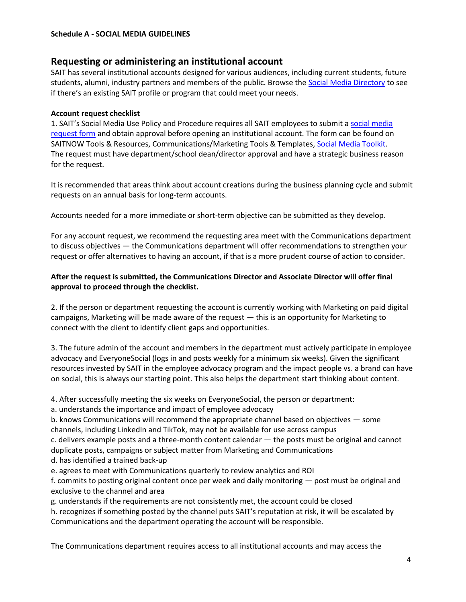# **Requesting or administering an institutional account**

SAIT has several institutional accounts designed for various audiences, including current students, future students, alumni, industry partners and members of the public. Browse the [Social Media Directory](http://www.sait.ca/about-sait/campus/contact-us/social/social-media-directory) to see if there's an existing SAIT profile or program that could meet your needs.

### **Account request checklist**

1. SAIT's Social Media Use Policy and Procedure requires all SAIT employees to submit [a social media](http://www.saitnow.ca/comm-advert-tools-res-cat-list/1054-social-media-request-form.html) [request form](http://www.saitnow.ca/comm-advert-tools-res-cat-list/1054-social-media-request-form.html) and obtain approval before opening an institutional account. The form can be found on SAITNOW Tools & Resources, Communications/Marketing Tools & Templates[, Social Media Toolkit.](http://www.saitnow.ca/social-media-guidelines.html) The request must have department/school dean/director approval and have a strategic business reason for the request.

It is recommended that areas think about account creations during the business planning cycle and submit requests on an annual basis for long-term accounts.

Accounts needed for a more immediate or short-term objective can be submitted as they develop.

For any account request, we recommend the requesting area meet with the Communications department to discuss objectives — the Communications department will offer recommendations to strengthen your request or offer alternatives to having an account, if that is a more prudent course of action to consider.

### **After the request is submitted, the Communications Director and Associate Director will offer final approval to proceed through the checklist.**

2. If the person or department requesting the account is currently working with Marketing on paid digital campaigns, Marketing will be made aware of the request — this is an opportunity for Marketing to connect with the client to identify client gaps and opportunities.

3. The future admin of the account and members in the department must actively participate in employee advocacy and EveryoneSocial (logs in and posts weekly for a minimum six weeks). Given the significant resources invested by SAIT in the employee advocacy program and the impact people vs. a brand can have on social, this is always our starting point. This also helps the department start thinking about content.

4. After successfully meeting the six weeks on EveryoneSocial, the person or department:

a. understands the importance and impact of employee advocacy

b. knows Communications will recommend the appropriate channel based on objectives — some channels, including LinkedIn and TikTok, may not be available for use across campus

c. delivers example posts and a three-month content calendar — the posts must be original and cannot duplicate posts, campaigns or subject matter from Marketing and Communications

d. has identified a trained back-up

e. agrees to meet with Communications quarterly to review analytics and ROI

f. commits to posting original content once per week and daily monitoring — post must be original and exclusive to the channel and area

- g. understands if the requirements are not consistently met, the account could be closed
- h. recognizes if something posted by the channel puts SAIT's reputation at risk, it will be escalated by Communications and the department operating the account will be responsible.

The Communications department requires access to all institutional accounts and may access the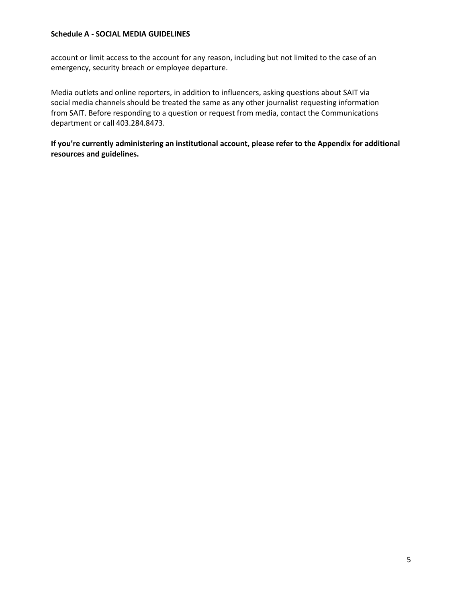account or limit access to the account for any reason, including but not limited to the case of an emergency, security breach or employee departure.

Media outlets and online reporters, in addition to influencers, asking questions about SAIT via social media channels should be treated the same as any other journalist requesting information from SAIT. Before responding to a question or request from media, contact the Communications department or call 403.284.8473.

**If you're currently administering an institutional account, please refer to the Appendix for additional resources and guidelines.**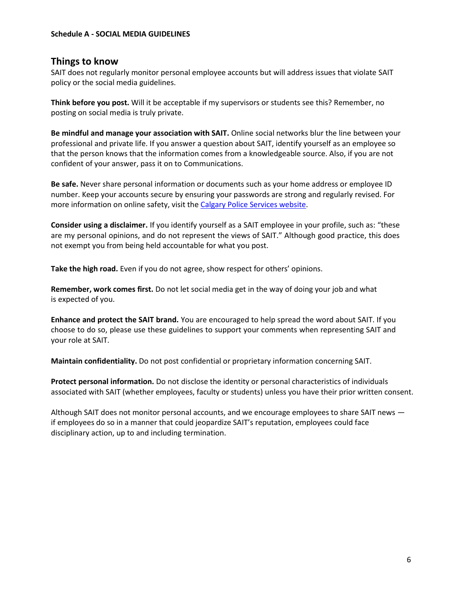### **Things to know**

SAIT does not regularly monitor personal employee accounts but will address issues that violate SAIT policy or the social media guidelines.

**Think before you post.** Will it be acceptable if my supervisors or students see this? Remember, no posting on social media is truly private.

**Be mindful and manage your association with SAIT.** Online social networks blur the line between your professional and private life. If you answer a question about SAIT, identify yourself as an employee so that the person knows that the information comes from a knowledgeable source. Also, if you are not confident of your answer, pass it on to Communications.

**Be safe.** Never share personal information or documents such as your home address or employee ID number. Keep your accounts secure by ensuring your passwords are strong and regularly revised. For more information on online safety, visit th[e Calgary Police Services website.](http://www.calgary.ca/cps/Pages/Community-programs-and-resources/Crime-prevention/Online-safety.aspx)

**Consider using a disclaimer.** If you identify yourself as a SAIT employee in your profile, such as: "these are my personal opinions, and do not represent the views of SAIT." Although good practice, this does not exempt you from being held accountable for what you post.

**Take the high road.** Even if you do not agree, show respect for others' opinions.

**Remember, work comes first.** Do not let social media get in the way of doing your job and what is expected of you.

**Enhance and protect the SAIT brand.** You are encouraged to help spread the word about SAIT. If you choose to do so, please use these guidelines to support your comments when representing SAIT and your role at SAIT.

**Maintain confidentiality.** Do not post confidential or proprietary information concerning SAIT.

**Protect personal information.** Do not disclose the identity or personal characteristics of individuals associated with SAIT (whether employees, faculty or students) unless you have their prior written consent.

Although SAIT does not monitor personal accounts, and we encourage employees to share SAIT news if employees do so in a manner that could jeopardize SAIT's reputation, employees could face disciplinary action, up to and including termination.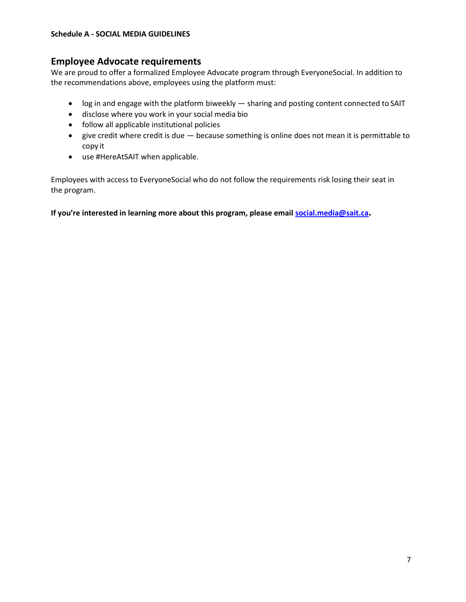### **Employee Advocate requirements**

We are proud to offer a formalized Employee Advocate program through EveryoneSocial. In addition to the recommendations above, employees using the platform must:

- log in and engage with the platform biweekly sharing and posting content connected to SAIT
- disclose where you work in your social media bio
- follow all applicable institutional policies
- give credit where credit is due because something is online does not mean it is permittable to copy it
- use #HereAtSAIT when applicable.

Employees with access to EveryoneSocial who do not follow the requirements risk losing their seat in the program.

**If you're interested in learning more about this program, please email [social.media@sait.ca](mailto:social.media@sait.ca).**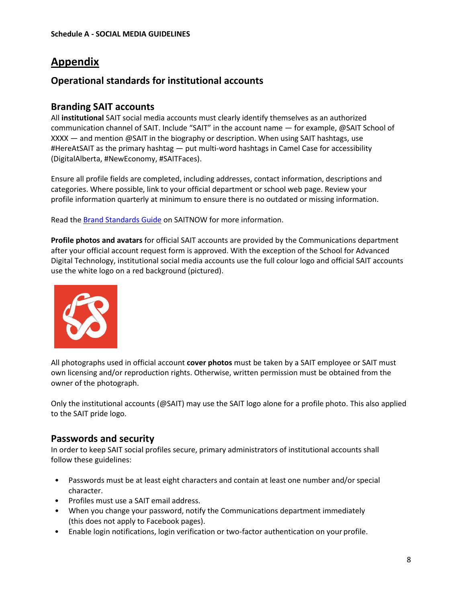# **Appendix**

# **Operational standards for institutional accounts**

# **Branding SAIT accounts**

All **institutional** SAIT social media accounts must clearly identify themselves as an authorized communication channel of SAIT. Include "SAIT" in the account name — for example, @SAIT School of XXXX — and mention @SAIT in the biography or description. When using SAIT hashtags, use #HereAtSAIT as the primary hashtag — put multi-word hashtags in Camel Case for accessibility (DigitalAlberta, #NewEconomy, #SAITFaces).

Ensure all profile fields are completed, including addresses, contact information, descriptions and categories. Where possible, link to your official department or school web page. Review your profile information quarterly at minimum to ensure there is no outdated or missing information.

Read th[e Brand Standards Guide](http://www.saitnow.ca/brand-standards-guide.html) on SAITNOW for more information.

**Profile photos and avatars** for official SAIT accounts are provided by the Communications department after your official account request form is approved. With the exception of the School for Advanced Digital Technology, institutional social media accounts use the full colour logo and official SAIT accounts use the white logo on a red background (pictured).



All photographs used in official account **cover photos** must be taken by a SAIT employee or SAIT must own licensing and/or reproduction rights. Otherwise, written permission must be obtained from the owner of the photograph.

Only the institutional accounts (@SAIT) may use the SAIT logo alone for a profile photo. This also applied to the SAIT pride logo.

# **Passwords and security**

In order to keep SAIT social profiles secure, primary administrators of institutional accounts shall follow these guidelines:

- Passwords must be at least eight characters and contain at least one number and/or special character.
- Profiles must use a SAIT email address.
- When you change your password, notify the Communications department immediately (this does not apply to Facebook pages).
- Enable login notifications, login verification or two-factor authentication on your profile.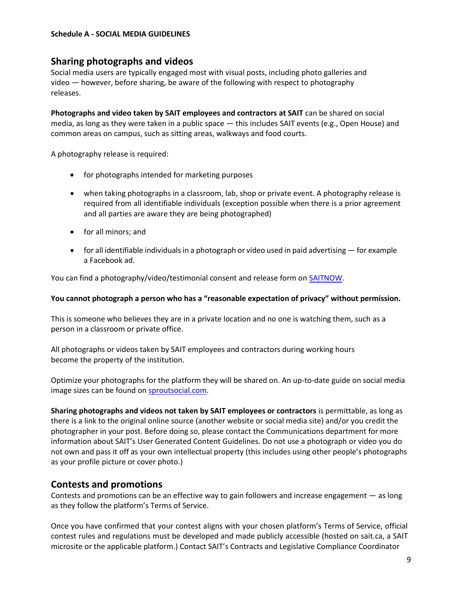### **Sharing photographs and videos**

Social media users are typically engaged most with visual posts, including photo galleries and video — however, before sharing, be aware of the following with respect to photography releases.

**Photographs and video taken by SAIT employees and contractors at SAIT** can be shared on social media, as long as they were taken in a public space — this includes SAIT events (e.g., Open House) and common areas on campus, such as sitting areas, walkways and food courts.

A photography release is required:

- for photographs intended for marketing purposes
- when taking photographs in a classroom, lab, shop or private event. A photography release is required from all identifiable individuals (exception possible when there is a prior agreement and all parties are aware they are being photographed)
- for all minors; and
- for all identifiable individuals in a photograph or video used in paid advertising for example a Facebook ad.

You can find a photography/video/testimonial consent and release form on **SAITNOW**.

#### **You cannot photograph a person who has a "reasonable expectation of privacy" without permission.**

This is someone who believes they are in a private location and no one is watching them, such as a person in a classroom or private office.

All photographs or videos taken by SAIT employees and contractors during working hours become the property of the institution.

Optimize your photographs for the platform they will be shared on. An up-to-date guide on social media image sizes can be found on [sproutsocial.com.](http://sproutsocial.com/insights/social-media-image-sizes-guide/)

**Sharing photographs and videos not taken by SAIT employees or contractors** is permittable, as long as there is a link to the original online source (another website or social media site) and/or you credit the photographer in your post. Before doing so, please contact the Communications department for more information about SAIT's User Generated Content Guidelines. Do not use a photograph or video you do not own and pass it off as your own intellectual property (this includes using other people's photographs as your profile picture or cover photo.)

## **Contests and promotions**

Contests and promotions can be an effective way to gain followers and increase engagement — as long as they follow the platform's Terms of Service.

Once you have confirmed that your contest aligns with your chosen platform's Terms of Service, official contest rules and regulations must be developed and made publicly accessible (hosted on sait.ca, a SAIT microsite or the applicable platform.) Contact SAIT's Contracts and Legislative Compliance Coordinator